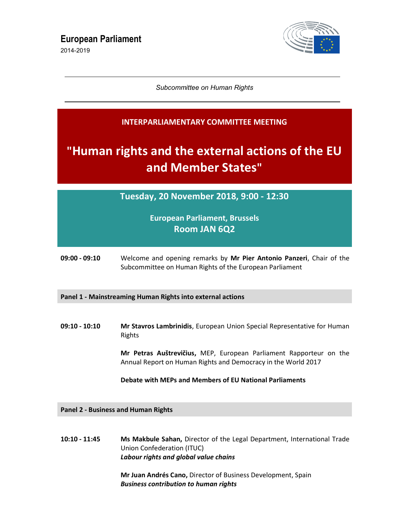2014-2019



Subcommittee on Human Rights

### INTERPARLIAMENTARY COMMITTEE MEETING

# "Human rights and the external actions of the EU and Member States"

Tuesday, 20 November 2018, 9:00 - 12:30

## European Parliament, Brussels Room JAN 6Q2

09:00 - 09:10 Welcome and opening remarks by Mr Pier Antonio Panzeri, Chair of the Subcommittee on Human Rights of the European Parliament

#### Panel 1 - Mainstreaming Human Rights into external actions

09:10 - 10:10 Mr Stavros Lambrinidis, European Union Special Representative for Human Rights

> Mr Petras Auštrevičius, MEP, European Parliament Rapporteur on the Annual Report on Human Rights and Democracy in the World 2017

#### Debate with MEPs and Members of EU National Parliaments

Panel 2 - Business and Human Rights

10:10 - 11:45 Ms Makbule Sahan, Director of the Legal Department, International Trade Union Confederation (ITUC) Labour rights and global value chains

> Mr Juan Andrés Cano, Director of Business Development, Spain Business contribution to human rights